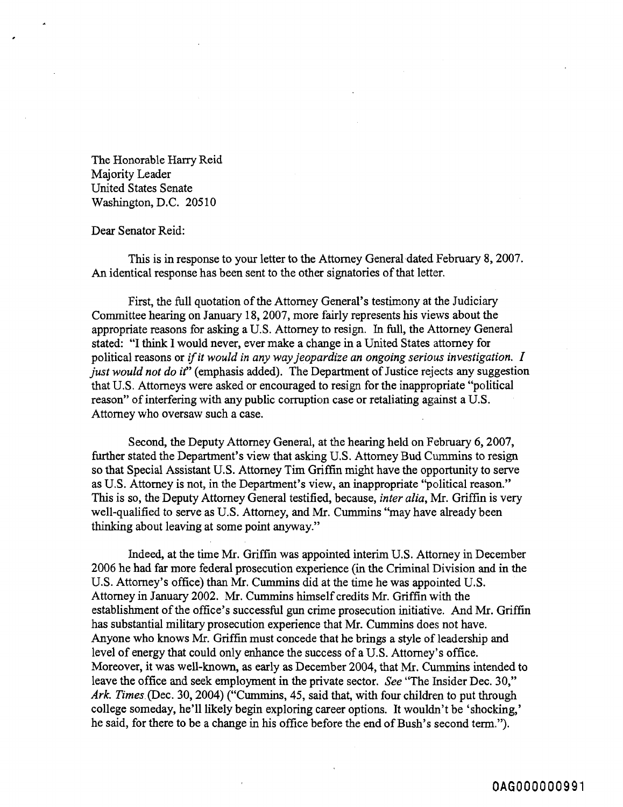The Honorable Harry Reid Majority Leader United States Senate Washington, D.C. 205 10

## Dear Senator Reid:

This is in response to your letter to the Attorney General dated February 8, 2007. An identical response has been sent to the other signatories of that letter.

First, the full quotation of the Attorney General's testimony at the Judiciary Committee hearing on January 18,2007, more fairly represents his views about the appropriate reasons for asking a U.S. Attorney to resign. In full, the Attorney General stated: "I think I would never, ever make a change in a United States attorney for political reasons or if it would in any way jeopardize an ongoing serious investigation.  $I$ just would not do it" (emphasis added). The Department of Justice rejects any suggestion that U.S. Attorneys were asked or encouraged to resign for the inappropriate "political reason" of interfering with any public corruption case or retaliating against a U.S. Attorney who oversaw such a case.

Second, the Deputy Attorney General, at the hearing held on February 6, 2007, further stated the Department's view that asking U.S. Attorney Bud Cummins to resign so that Special Assistant U.S. Attorney Tim Griffin might have the opportunity to serve as U.S. Attorney is not, in the Department's view, an inappropriate "political reason." This is so, the Deputy Attomey General testified, because, inter alia, Mr. Griffin is very well-qualified to serve as U.S. Attorney, and Mr. Cummins "may have already been thinking about leaving at some point anyway."

Indeed, at the time **Mr.** Griffin was appointed interim U.S. Attorney in December 2006 he had far more federal prosecution experience (in the Criminal Division and in the U.S. Attorney's office) than Mr. Cummins did at the time he was appointed U.S. Attorney in January 2002. Mr. Cumrnins himself credits **Mr.** Griffin with the establishment of the office's successful gun crime prosecution initiative. And Mr. Griffin has substantial military prosecution experience that Mr. Cummins does not have. Anyone who knows Mr. Griffin must concede that he brings a style of leadership and level of energy that could only enhance the success of a U.S. Attorney's office. Moreover, it was well-known, as early as December 2004, that Mr. Cummins intended to leave the office and seek employment in the private sector. *See* "The Insider Dec. 30," Ark. Times (Dec. 30, 2004) ("Cummins, 45, said that, with four children to put through college someday, he'll likely begin exploring career options. It wouldn't be 'shocking,' he said, for there to be a change in his office before the end of Bush's second term.").